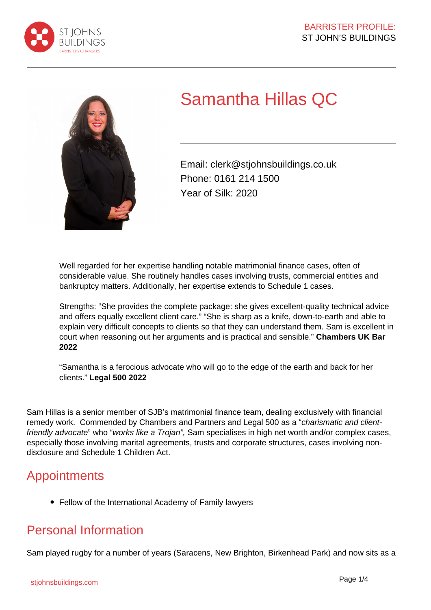



# Samantha Hillas QC

Email: clerk@stjohnsbuildings.co.uk Phone: 0161 214 1500 Year of Silk: 2020

Well regarded for her expertise handling notable matrimonial finance cases, often of considerable value. She routinely handles cases involving trusts, commercial entities and bankruptcy matters. Additionally, her expertise extends to Schedule 1 cases.

Strengths: "She provides the complete package: she gives excellent-quality technical advice and offers equally excellent client care." "She is sharp as a knife, down-to-earth and able to explain very difficult concepts to clients so that they can understand them. Sam is excellent in court when reasoning out her arguments and is practical and sensible." **Chambers UK Bar 2022**

"Samantha is a ferocious advocate who will go to the edge of the earth and back for her clients." **Legal 500 2022**

Sam Hillas is a senior member of SJB's matrimonial finance team, dealing exclusively with financial remedy work. Commended by Chambers and Partners and Legal 500 as a "charismatic and clientfriendly advocate" who "works like a Trojan", Sam specialises in high net worth and/or complex cases, especially those involving marital agreements, trusts and corporate structures, cases involving nondisclosure and Schedule 1 Children Act.

#### **Appointments**

Fellow of the International Academy of Family lawyers

### Personal Information

Sam played rugby for a number of years (Saracens, New Brighton, Birkenhead Park) and now sits as a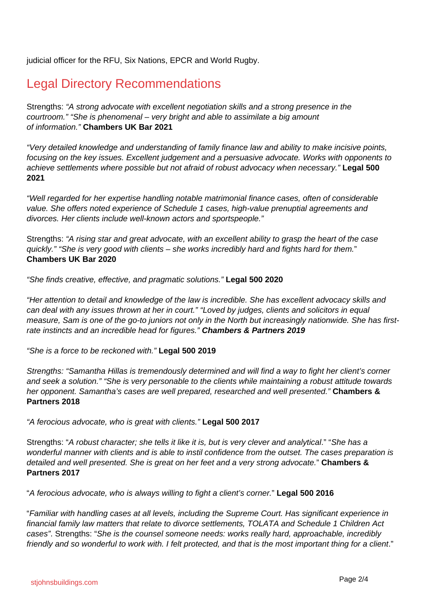judicial officer for the RFU, Six Nations, EPCR and World Rugby.

### Legal Directory Recommendations

Strengths: "A strong advocate with excellent negotiation skills and a strong presence in the courtroom." "She is phenomenal – very bright and able to assimilate a big amount of information." **Chambers UK Bar 2021**

"Very detailed knowledge and understanding of family finance law and ability to make incisive points, focusing on the key issues. Excellent judgement and a persuasive advocate. Works with opponents to achieve settlements where possible but not afraid of robust advocacy when necessary." **Legal 500 2021**

"Well regarded for her expertise handling notable matrimonial finance cases, often of considerable value. She offers noted experience of Schedule 1 cases, high-value prenuptial agreements and divorces. Her clients include well-known actors and sportspeople."

Strengths: "A rising star and great advocate, with an excellent ability to grasp the heart of the case quickly." "She is very good with clients – she works incredibly hard and fights hard for them." **Chambers UK Bar 2020**

"She finds creative, effective, and pragmatic solutions." **Legal 500 2020**

"Her attention to detail and knowledge of the law is incredible. She has excellent advocacy skills and can deal with any issues thrown at her in court." "Loved by judges, clients and solicitors in equal measure, Sam is one of the go-to juniors not only in the North but increasingly nationwide. She has firstrate instincts and an incredible head for figures." **Chambers & Partners 2019**

"She is a force to be reckoned with." **Legal 500 2019**

Strengths: "Samantha Hillas is tremendously determined and will find a way to fight her client's corner and seek a solution." "She is very personable to the clients while maintaining a robust attitude towards her opponent. Samantha's cases are well prepared, researched and well presented." **Chambers & Partners 2018**

"A ferocious advocate, who is great with clients." **Legal 500 2017**

Strengths: "A robust character; she tells it like it is, but is very clever and analytical." "She has a wonderful manner with clients and is able to instil confidence from the outset. The cases preparation is detailed and well presented. She is great on her feet and a very strong advocate." **Chambers & Partners 2017**

"A ferocious advocate, who is always willing to fight a client's corner." **Legal 500 2016**

"Familiar with handling cases at all levels, including the Supreme Court. Has significant experience in financial family law matters that relate to divorce settlements, TOLATA and Schedule 1 Children Act cases". Strengths: "She is the counsel someone needs: works really hard, approachable, incredibly friendly and so wonderful to work with. I felt protected, and that is the most important thing for a client."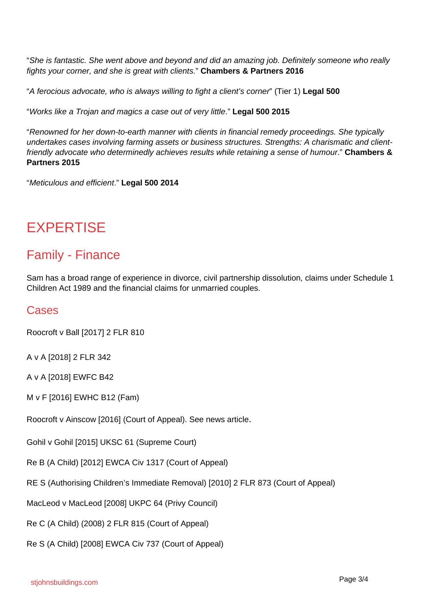"She is fantastic. She went above and beyond and did an amazing job. Definitely someone who really fights your corner, and she is great with clients." **Chambers & Partners 2016**

"A ferocious advocate, who is always willing to fight a client's corner" (Tier 1) **Legal 500**

"Works like a Trojan and magics a case out of very little." **Legal 500 2015**

"Renowned for her down-to-earth manner with clients in financial remedy proceedings. She typically undertakes cases involving farming assets or business structures. Strengths: A charismatic and clientfriendly advocate who determinedly achieves results while retaining a sense of humour." **Chambers & Partners 2015**

"Meticulous and efficient." **Legal 500 2014**

## **EXPERTISE**

#### Family - Finance

Sam has a broad range of experience in divorce, civil partnership dissolution, claims under Schedule 1 Children Act 1989 and the financial claims for unmarried couples.

#### Cases

Roocroft v Ball [2017] 2 FLR 810

A v A [2018] 2 FLR 342

A v A [2018] EWFC B42

M v F [2016] EWHC B12 (Fam)

Roocroft v Ainscow [2016] (Court of Appeal). See news article.

Gohil v Gohil [2015] UKSC 61 (Supreme Court)

Re B (A Child) [2012] EWCA Civ 1317 (Court of Appeal)

RE S (Authorising Children's Immediate Removal) [2010] 2 FLR 873 (Court of Appeal)

MacLeod v MacLeod [2008] UKPC 64 (Privy Council)

Re C (A Child) (2008) 2 FLR 815 (Court of Appeal)

Re S (A Child) [2008] EWCA Civ 737 (Court of Appeal)